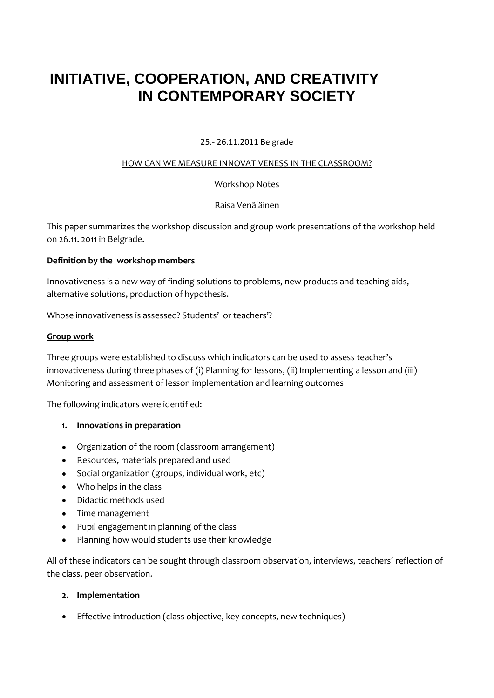# **INITIATIVE, COOPERATION, AND CREATIVITY IN CONTEMPORARY SOCIETY**

# 25.- 26.11.2011 Belgrade

#### HOW CAN WE MEASURE INNOVATIVENESS IN THE CLASSROOM?

# Workshop Notes

# Raisa Venäläinen

This paper summarizes the workshop discussion and group work presentations of the workshop held on 26.11. 2011 in Belgrade.

## **Definition by the workshop members**

Innovativeness is a new way of finding solutions to problems, new products and teaching aids, alternative solutions, production of hypothesis.

Whose innovativeness is assessed? Students' or teachers'?

## **Group work**

Three groups were established to discuss which indicators can be used to assess teacher's innovativeness during three phases of (i) Planning for lessons, (ii) Implementing a lesson and (iii) Monitoring and assessment of lesson implementation and learning outcomes

The following indicators were identified:

- **1. Innovations in preparation**
- Organization of the room (classroom arrangement)
- Resources, materials prepared and used
- Social organization (groups, individual work, etc)  $\bullet$
- Who helps in the class
- Didactic methods used
- Time management
- Pupil engagement in planning of the class
- Planning how would students use their knowledge  $\bullet$

All of these indicators can be sought through classroom observation, interviews, teachers´ reflection of the class, peer observation.

#### **2. Implementation**

Effective introduction (class objective, key concepts, new techniques)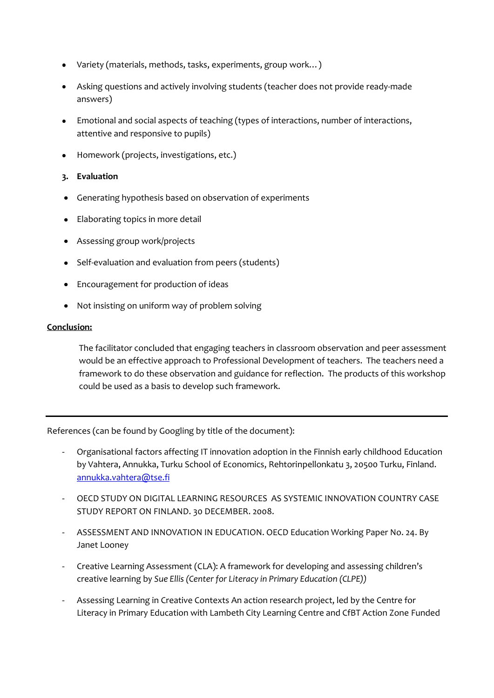- Variety (materials, methods, tasks, experiments, group work…)
- Asking questions and actively involving students (teacher does not provide ready-made answers)
- Emotional and social aspects of teaching (types of interactions, number of interactions, attentive and responsive to pupils)
- Homework (projects, investigations, etc.)

# **3. Evaluation**

- Generating hypothesis based on observation of experiments
- Elaborating topics in more detail
- Assessing group work/projects
- Self-evaluation and evaluation from peers (students)
- Encouragement for production of ideas
- Not insisting on uniform way of problem solving

## **Conclusion:**

The facilitator concluded that engaging teachers in classroom observation and peer assessment would be an effective approach to Professional Development of teachers. The teachers need a framework to do these observation and guidance for reflection. The products of this workshop could be used as a basis to develop such framework.

References (can be found by Googling by title of the document):

- Organisational factors affecting IT innovation adoption in the Finnish early childhood Education by Vahtera, Annukka, Turku School of Economics, Rehtorinpellonkatu 3, 20500 Turku, Finland. [annukka.vahtera@tse.fi](mailto:annukka.vahtera@tse.fi)
- OECD STUDY ON DIGITAL LEARNING RESOURCES AS SYSTEMIC INNOVATION COUNTRY CASE STUDY REPORT ON FINLAND. 30 DECEMBER. 2008.
- ASSESSMENT AND INNOVATION IN EDUCATION. OECD Education Working Paper No. 24. By Janet Looney
- Creative Learning Assessment (CLA): A framework for developing and assessing children's creative learning by *Sue Ellis (Center for Literacy in Primary Education (CLPE))*
- Assessing Learning in Creative Contexts An action research project, led by the Centre for Literacy in Primary Education with Lambeth City Learning Centre and CfBT Action Zone Funded